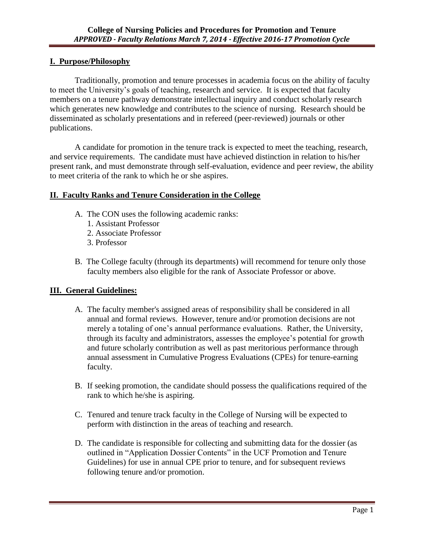### **I. Purpose/Philosophy**

Traditionally, promotion and tenure processes in academia focus on the ability of faculty to meet the University's goals of teaching, research and service. It is expected that faculty members on a tenure pathway demonstrate intellectual inquiry and conduct scholarly research which generates new knowledge and contributes to the science of nursing. Research should be disseminated as scholarly presentations and in refereed (peer-reviewed) journals or other publications.

A candidate for promotion in the tenure track is expected to meet the teaching, research, and service requirements. The candidate must have achieved distinction in relation to his/her present rank, and must demonstrate through self-evaluation, evidence and peer review, the ability to meet criteria of the rank to which he or she aspires.

### **II. Faculty Ranks and Tenure Consideration in the College**

- A. The CON uses the following academic ranks:
	- 1. Assistant Professor
	- 2. Associate Professor
	- 3. Professor
- B. The College faculty (through its departments) will recommend for tenure only those faculty members also eligible for the rank of Associate Professor or above.

# **III. General Guidelines:**

- A. The faculty member's assigned areas of responsibility shall be considered in all annual and formal reviews. However, tenure and/or promotion decisions are not merely a totaling of one's annual performance evaluations. Rather, the University, through its faculty and administrators, assesses the employee's potential for growth and future scholarly contribution as well as past meritorious performance through annual assessment in Cumulative Progress Evaluations (CPEs) for tenure-earning faculty.
- B. If seeking promotion, the candidate should possess the qualifications required of the rank to which he/she is aspiring.
- C. Tenured and tenure track faculty in the College of Nursing will be expected to perform with distinction in the areas of teaching and research.
- D. The candidate is responsible for collecting and submitting data for the dossier (as outlined in "Application Dossier Contents" in the UCF Promotion and Tenure Guidelines) for use in annual CPE prior to tenure, and for subsequent reviews following tenure and/or promotion.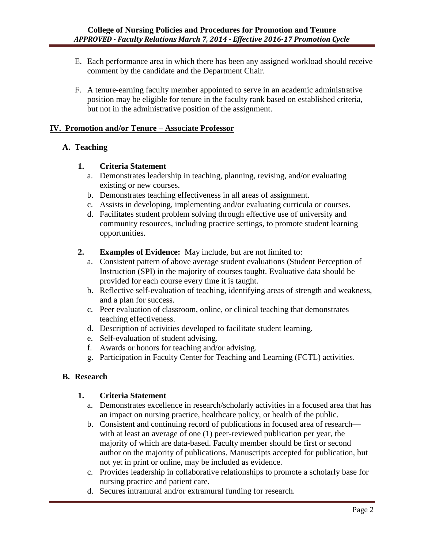- E. Each performance area in which there has been any assigned workload should receive comment by the candidate and the Department Chair.
- F. A tenure-earning faculty member appointed to serve in an academic administrative position may be eligible for tenure in the faculty rank based on established criteria, but not in the administrative position of the assignment.

### **IV. Promotion and/or Tenure – Associate Professor**

### **A. Teaching**

### **1. Criteria Statement**

- a. Demonstrates leadership in teaching, planning, revising, and/or evaluating existing or new courses.
- b. Demonstrates teaching effectiveness in all areas of assignment.
- c. Assists in developing, implementing and/or evaluating curricula or courses.
- d. Facilitates student problem solving through effective use of university and community resources, including practice settings, to promote student learning opportunities.
- **2. Examples of Evidence:** May include, but are not limited to:
	- a. Consistent pattern of above average student evaluations (Student Perception of Instruction (SPI) in the majority of courses taught. Evaluative data should be provided for each course every time it is taught.
	- b. Reflective self-evaluation of teaching, identifying areas of strength and weakness, and a plan for success.
	- c. Peer evaluation of classroom, online, or clinical teaching that demonstrates teaching effectiveness.
	- d. Description of activities developed to facilitate student learning.
	- e. Self-evaluation of student advising.
	- f. Awards or honors for teaching and/or advising.
	- g. Participation in Faculty Center for Teaching and Learning (FCTL) activities.

# **B. Research**

### **1. Criteria Statement**

- a. Demonstrates excellence in research/scholarly activities in a focused area that has an impact on nursing practice, healthcare policy, or health of the public.
- b. Consistent and continuing record of publications in focused area of research with at least an average of one (1) peer-reviewed publication per year, the majority of which are data-based. Faculty member should be first or second author on the majority of publications. Manuscripts accepted for publication, but not yet in print or online, may be included as evidence.
- c. Provides leadership in collaborative relationships to promote a scholarly base for nursing practice and patient care.
- d. Secures intramural and/or extramural funding for research.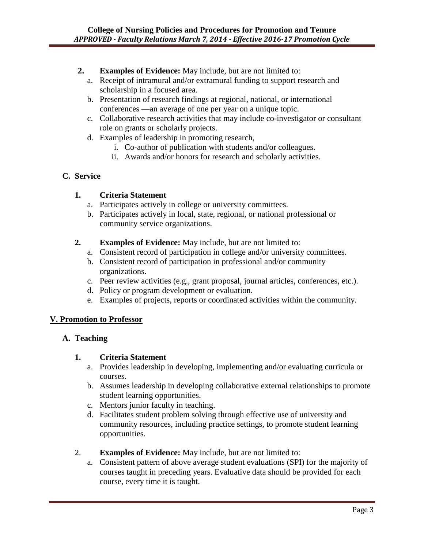## **2. Examples of Evidence:** May include, but are not limited to:

- a. Receipt of intramural and/or extramural funding to support research and scholarship in a focused area.
- b. Presentation of research findings at regional, national, or international conferences —an average of one per year on a unique topic.
- c. Collaborative research activities that may include co-investigator or consultant role on grants or scholarly projects.
- d. Examples of leadership in promoting research,
	- i. Co-author of publication with students and/or colleagues.
	- ii. Awards and/or honors for research and scholarly activities.

### **C. Service**

### **1. Criteria Statement**

- a. Participates actively in college or university committees.
- b. Participates actively in local, state, regional, or national professional or community service organizations.
- **2. Examples of Evidence:** May include, but are not limited to:
	- a. Consistent record of participation in college and/or university committees.
	- b. Consistent record of participation in professional and/or community organizations.
	- c. Peer review activities (e.g., grant proposal, journal articles, conferences, etc.).
	- d. Policy or program development or evaluation.
	- e. Examples of projects, reports or coordinated activities within the community.

### **V. Promotion to Professor**

### **A. Teaching**

### **1. Criteria Statement**

- a. Provides leadership in developing, implementing and/or evaluating curricula or courses.
- b. Assumes leadership in developing collaborative external relationships to promote student learning opportunities.
- c. Mentors junior faculty in teaching.
- d. Facilitates student problem solving through effective use of university and community resources, including practice settings, to promote student learning opportunities.
- 2. **Examples of Evidence:** May include, but are not limited to:
	- a. Consistent pattern of above average student evaluations (SPI) for the majority of courses taught in preceding years. Evaluative data should be provided for each course, every time it is taught.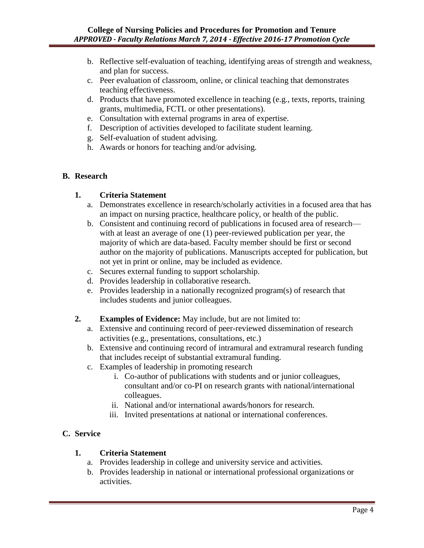- b. Reflective self-evaluation of teaching, identifying areas of strength and weakness, and plan for success.
- c. Peer evaluation of classroom, online, or clinical teaching that demonstrates teaching effectiveness.
- d. Products that have promoted excellence in teaching (e.g., texts, reports, training grants, multimedia, FCTL or other presentations).
- e. Consultation with external programs in area of expertise.
- f. Description of activities developed to facilitate student learning.
- g. Self-evaluation of student advising.
- h. Awards or honors for teaching and/or advising.

### **B. Research**

### **1. Criteria Statement**

- a. Demonstrates excellence in research/scholarly activities in a focused area that has an impact on nursing practice, healthcare policy, or health of the public.
- b. Consistent and continuing record of publications in focused area of research with at least an average of one (1) peer-reviewed publication per year, the majority of which are data-based. Faculty member should be first or second author on the majority of publications. Manuscripts accepted for publication, but not yet in print or online, may be included as evidence.
- c. Secures external funding to support scholarship.
- d. Provides leadership in collaborative research.
- e. Provides leadership in a nationally recognized program(s) of research that includes students and junior colleagues.

### **2. Examples of Evidence:** May include, but are not limited to:

- a. Extensive and continuing record of peer-reviewed dissemination of research activities (e.g., presentations, consultations, etc.)
- b. Extensive and continuing record of intramural and extramural research funding that includes receipt of substantial extramural funding.
- c. Examples of leadership in promoting research
	- i. Co-author of publications with students and or junior colleagues, consultant and/or co-PI on research grants with national/international colleagues.
	- ii. National and/or international awards/honors for research.
	- iii. Invited presentations at national or international conferences.

# **C. Service**

### **1. Criteria Statement**

- a. Provides leadership in college and university service and activities.
- b. Provides leadership in national or international professional organizations or activities.